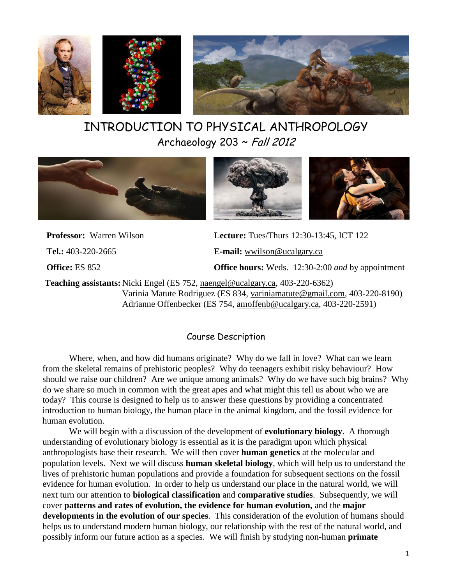

# INTRODUCTION TO PHYSICAL ANTHROPOLOGY Archaeology 203 ~ Fall 2012



**Professor:** Warren Wilson **Lecture:** Tues/Thurs 12:30-13:45, ICT 122

**Tel.:** 403-220-2665 **E-mail:** [wwilson@ucalgary.ca](mailto:wwilson@ucalgary.ca)

**Office:** ES 852 **Office hours:** Weds. 12:30-2:00 *and* by appointment

**Teaching assistants:** Nicki Engel (ES 752, [naengel@ucalgary.ca,](mailto:naengel@ucalgary.ca) 403-220-6362) Varinia Matute Rodriguez (ES 834, [variniamatute@gmail.com,](mailto:variniamatute@gmail.com) 403-220-8190) Adrianne Offenbecker (ES 754, [amoffenb@ucalgary.ca,](mailto:amoffenb@ucalgary.ca) 403-220-2591)

#### Course Description

Where, when, and how did humans originate? Why do we fall in love? What can we learn from the skeletal remains of prehistoric peoples? Why do teenagers exhibit risky behaviour? How should we raise our children? Are we unique among animals? Why do we have such big brains? Why do we share so much in common with the great apes and what might this tell us about who we are today? This course is designed to help us to answer these questions by providing a concentrated introduction to human biology, the human place in the animal kingdom, and the fossil evidence for human evolution.

We will begin with a discussion of the development of **evolutionary biology**. A thorough understanding of evolutionary biology is essential as it is the paradigm upon which physical anthropologists base their research. We will then cover **human genetics** at the molecular and population levels. Next we will discuss **human skeletal biology**, which will help us to understand the lives of prehistoric human populations and provide a foundation for subsequent sections on the fossil evidence for human evolution. In order to help us understand our place in the natural world, we will next turn our attention to **biological classification** and **comparative studies**. Subsequently, we will cover **patterns and rates of evolution, the evidence for human evolution,** and the **major developments in the evolution of our species**. This consideration of the evolution of humans should helps us to understand modern human biology, our relationship with the rest of the natural world, and possibly inform our future action as a species. We will finish by studying non-human **primate**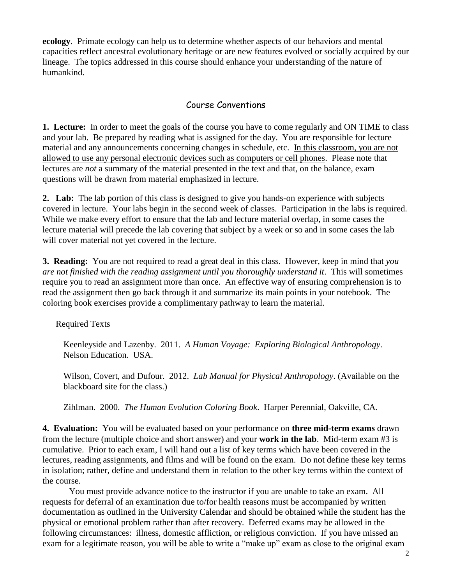**ecology**. Primate ecology can help us to determine whether aspects of our behaviors and mental capacities reflect ancestral evolutionary heritage or are new features evolved or socially acquired by our lineage. The topics addressed in this course should enhance your understanding of the nature of humankind.

### Course Conventions

**1. Lecture:**In order to meet the goals of the course you have to come regularly and ON TIME to class and your lab. Be prepared by reading what is assigned for the day. You are responsible for lecture material and any announcements concerning changes in schedule, etc. In this classroom, you are not allowed to use any personal electronic devices such as computers or cell phones. Please note that lectures are *not* a summary of the material presented in the text and that, on the balance, exam questions will be drawn from material emphasized in lecture.

**2. Lab:** The lab portion of this class is designed to give you hands-on experience with subjects covered in lecture. Your labs begin in the second week of classes. Participation in the labs is required. While we make every effort to ensure that the lab and lecture material overlap, in some cases the lecture material will precede the lab covering that subject by a week or so and in some cases the lab will cover material not yet covered in the lecture.

**3. Reading:** You are not required to read a great deal in this class. However, keep in mind that *you are not finished with the reading assignment until you thoroughly understand it*. This will sometimes require you to read an assignment more than once. An effective way of ensuring comprehension is to read the assignment then go back through it and summarize its main points in your notebook. The coloring book exercises provide a complimentary pathway to learn the material.

#### Required Texts

Keenleyside and Lazenby. 2011. *A Human Voyage: Exploring Biological Anthropology*. Nelson Education. USA.

Wilson, Covert, and Dufour. 2012. *Lab Manual for Physical Anthropology*. (Available on the blackboard site for the class.)

Zihlman. 2000. *The Human Evolution Coloring Book*. Harper Perennial, Oakville, CA.

**4. Evaluation:** You will be evaluated based on your performance on **three mid-term exams** drawn from the lecture (multiple choice and short answer) and your **work in the lab**. Mid-term exam #3 is cumulative. Prior to each exam, I will hand out a list of key terms which have been covered in the lectures, reading assignments, and films and will be found on the exam. Do not define these key terms in isolation; rather, define and understand them in relation to the other key terms within the context of the course.

You must provide advance notice to the instructor if you are unable to take an exam. All requests for deferral of an examination due to/for health reasons must be accompanied by written documentation as outlined in the University Calendar and should be obtained while the student has the physical or emotional problem rather than after recovery. Deferred exams may be allowed in the following circumstances: illness, domestic affliction, or religious conviction. If you have missed an exam for a legitimate reason, you will be able to write a "make up" exam as close to the original exam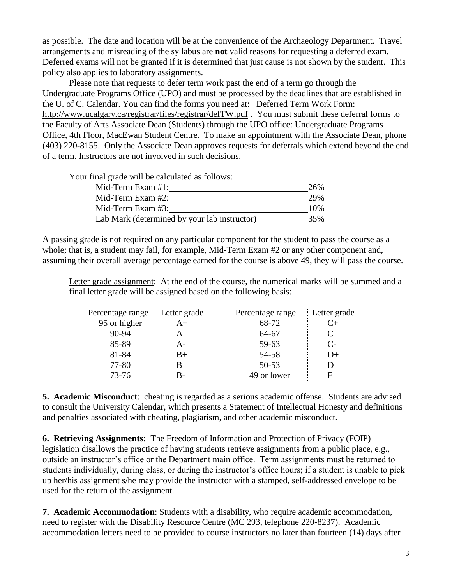as possible. The date and location will be at the convenience of the Archaeology Department. Travel arrangements and misreading of the syllabus are **not** valid reasons for requesting a deferred exam. Deferred exams will not be granted if it is determined that just cause is not shown by the student. This policy also applies to laboratory assignments.

Please note that requests to defer term work past the end of a term go through the Undergraduate Programs Office (UPO) and must be processed by the deadlines that are established in the U. of C. Calendar. You can find the forms you need at: Deferred Term Work Form: http://www.ucalgary.ca/registrar/files/registrar/defTW.pdf . You must submit these deferral forms to the Faculty of Arts Associate Dean (Students) through the UPO office: Undergraduate Programs Office, 4th Floor, MacEwan Student Centre. To make an appointment with the Associate Dean, phone (403) 220-8155. Only the Associate Dean approves requests for deferrals which extend beyond the end of a term. Instructors are not involved in such decisions.

Your final grade will be calculated as follows:

| Mid-Term Exam #1:                            | 26% |
|----------------------------------------------|-----|
| Mid-Term Exam $#2$ :                         | 29% |
| Mid-Term Exam #3:                            | 10% |
| Lab Mark (determined by your lab instructor) | 35% |

A passing grade is not required on any particular component for the student to pass the course as a whole; that is, a student may fail, for example, Mid-Term Exam #2 or any other component and, assuming their overall average percentage earned for the course is above 49, they will pass the course.

Letter grade assignment: At the end of the course, the numerical marks will be summed and a final letter grade will be assigned based on the following basis:

| Percentage range | Letter grade | Percentage range | Letter grade |
|------------------|--------------|------------------|--------------|
| 95 or higher     | A+           | 68-72            |              |
| 90-94            |              | 64-67            |              |
| 85-89            | A-           | 59-63            | C-           |
| 81-84            | $B+$         | 54-58            | ו 1 ב        |
| 77-80            |              | $50 - 53$        |              |
| $73 - 76$        | В-           | 49 or lower      |              |

**5. Academic Misconduct**: cheating is regarded as a serious academic offense. Students are advised to consult the University Calendar, which presents a Statement of Intellectual Honesty and definitions and penalties associated with cheating, plagiarism, and other academic misconduct.

**6. Retrieving Assignments:** The Freedom of Information and Protection of Privacy (FOIP) legislation disallows the practice of having students retrieve assignments from a public place, e.g., outside an instructor's office or the Department main office. Term assignments must be returned to students individually, during class, or during the instructor's office hours; if a student is unable to pick up her/his assignment s/he may provide the instructor with a stamped, self-addressed envelope to be used for the return of the assignment.

**7. Academic Accommodation**: Students with a disability, who require academic accommodation, need to register with the Disability Resource Centre (MC 293, telephone 220-8237). Academic accommodation letters need to be provided to course instructors no later than fourteen (14) days after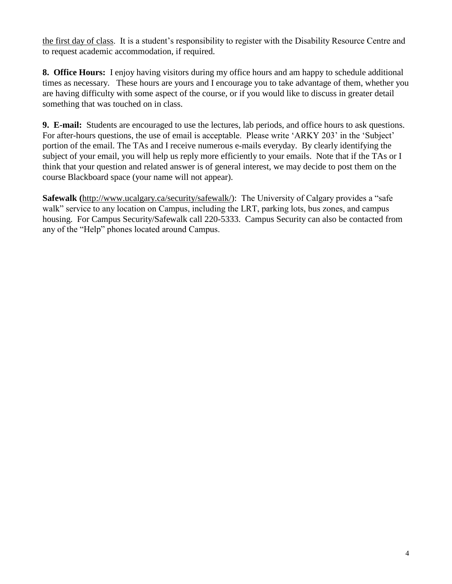the first day of class. It is a student's responsibility to register with the Disability Resource Centre and to request academic accommodation, if required.

**8. Office Hours:**I enjoy having visitors during my office hours and am happy to schedule additional times as necessary. These hours are yours and I encourage you to take advantage of them, whether you are having difficulty with some aspect of the course, or if you would like to discuss in greater detail something that was touched on in class.

**9. E-mail:** Students are encouraged to use the lectures, lab periods, and office hours to ask questions. For after-hours questions, the use of email is acceptable. Please write 'ARKY 203' in the 'Subject' portion of the email. The TAs and I receive numerous e-mails everyday. By clearly identifying the subject of your email, you will help us reply more efficiently to your emails. Note that if the TAs or I think that your question and related answer is of general interest, we may decide to post them on the course Blackboard space (your name will not appear).

**Safewalk (**[http://www.ucalgary.ca/security/safewalk/\)](http://www.ucalgary.ca/security/safewalk/): The University of Calgary provides a "safe walk" service to any location on Campus, including the LRT, parking lots, bus zones, and campus housing. For Campus Security/Safewalk call 220-5333. Campus Security can also be contacted from any of the "Help" phones located around Campus.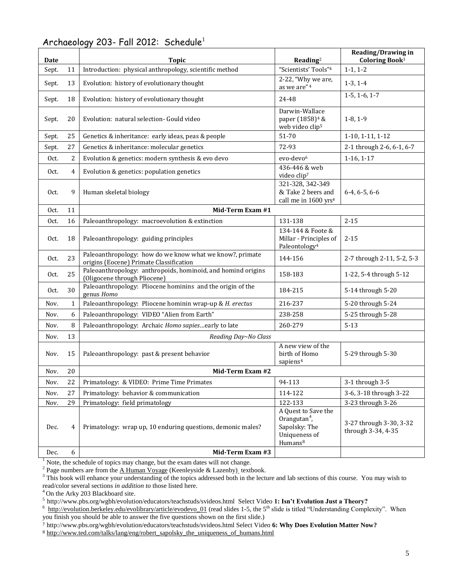| Date  |                        | <b>Topic</b>                                                                                        | $\bf Reading^2$                                                                                 | <b>Reading/Drawing in</b><br>Coloring Book <sup>3</sup> |  |  |
|-------|------------------------|-----------------------------------------------------------------------------------------------------|-------------------------------------------------------------------------------------------------|---------------------------------------------------------|--|--|
| Sept. | 11                     | Introduction: physical anthropology, scientific method                                              | "Scientists' Tools" <sup>4</sup>                                                                | $1-1, 1-2$                                              |  |  |
| Sept. | 13                     | Evolution: history of evolutionary thought                                                          | 2-22, "Why we are,<br>as we are" <sup>4</sup>                                                   | $1-3, 1-4$                                              |  |  |
| Sept. | 18                     | Evolution: history of evolutionary thought                                                          | 24-48                                                                                           | $1-5, 1-6, 1-7$                                         |  |  |
| Sept. | 20                     | Evolution: natural selection- Gould video                                                           | Darwin-Wallace<br>paper (1858) <sup>4</sup> &<br>web video clip <sup>5</sup>                    | $1-8, 1-9$                                              |  |  |
| Sept. | 25                     | Genetics & inheritance: early ideas, peas & people                                                  | 51-70                                                                                           | $1-10, 1-11, 1-12$                                      |  |  |
| Sept. | 27                     | Genetics & inheritance: molecular genetics                                                          | 72-93                                                                                           | 2-1 through 2-6, 6-1, 6-7                               |  |  |
| Oct.  | 2                      | Evolution & genetics: modern synthesis & evo devo                                                   | evo-devo <sup>6</sup>                                                                           | $1-16, 1-17$                                            |  |  |
| Oct.  | 4                      | Evolution & genetics: population genetics                                                           | 436-446 & web<br>video clip <sup>7</sup>                                                        |                                                         |  |  |
| Oct.  | 9                      | Human skeletal biology                                                                              | 321-328, 342-349<br>& Take 2 beers and<br>call me in 1600 yrs <sup>4</sup>                      | $6-4, 6-5, 6-6$                                         |  |  |
| Oct.  | 11<br>Mid-Term Exam #1 |                                                                                                     |                                                                                                 |                                                         |  |  |
| Oct.  | 16                     | Paleoanthropology: macroevolution & extinction                                                      | 131-138                                                                                         | $2 - 15$                                                |  |  |
| Oct.  | 18                     | Paleoanthropology: guiding principles                                                               | 134-144 & Foote &<br>Millar - Principles of<br>Paleontology <sup>4</sup>                        | $2 - 15$                                                |  |  |
| Oct.  | 23                     | Paleoanthropology: how do we know what we know?, primate<br>origins (Eocene) Primate Classification | 144-156                                                                                         | 2-7 through 2-11, 5-2, 5-3                              |  |  |
| Oct.  | 25                     | Paleoanthropology: anthropoids, hominoid, and homind origins<br>(Oligocene through Pliocene)        | 158-183                                                                                         | 1-22, 5-4 through 5-12                                  |  |  |
| Oct.  | 30                     | Paleoanthropology: Pliocene hominins and the origin of the<br>genus Homo                            | 184-215                                                                                         | 5-14 through 5-20                                       |  |  |
| Nov.  | $\mathbf{1}$           | Paleoanthropology: Pliocene hominin wrap-up & H. erectus                                            | 216-237                                                                                         | 5-20 through 5-24                                       |  |  |
| Nov.  | 6                      | Paleoanthropology: VIDEO "Alien from Earth"                                                         | 238-258                                                                                         | 5-25 through 5-28                                       |  |  |
| Nov.  | 8                      | Paleoanthropology: Archaic Homo sapiesearly to late                                                 | 260-279                                                                                         | $5 - 13$                                                |  |  |
| Nov.  | 13                     | Reading Day~No Class                                                                                |                                                                                                 |                                                         |  |  |
| Nov.  | 15                     | Paleoanthropology: past & present behavior                                                          | A new view of the<br>birth of Homo<br>sapiens <sup>4</sup>                                      | 5-29 through 5-30                                       |  |  |
| Nov.  | 20                     | Mid-Term Exam #2                                                                                    |                                                                                                 |                                                         |  |  |
| Nov.  | 22                     | Primatology: & VIDEO: Prime Time Primates                                                           | 94-113                                                                                          | 3-1 through 3-5                                         |  |  |
| Nov.  | 27                     | Primatology: behavior & communication                                                               | 114-122                                                                                         | 3-6, 3-18 through 3-22                                  |  |  |
| Nov.  | 29                     | Primatology: field primatology                                                                      | 122-133                                                                                         | 3-23 through 3-26                                       |  |  |
| Dec.  | $\overline{4}$         | Primatology: wrap up, 10 enduring questions, demonic males?                                         | A Quest to Save the<br>Orangutan $4$ ,<br>Sapolsky: The<br>Uniqueness of<br>Humans <sup>8</sup> | 3-27 through 3-30, 3-32<br>through 3-34, 4-35           |  |  |
| Dec.  | $\boldsymbol{6}$       | Mid-Term Exam #3                                                                                    |                                                                                                 |                                                         |  |  |

### Archaeology 203- Fall 2012: Schedule<sup>1</sup>

<sup>1</sup> Note, the schedule of topics may change, but the exam dates will not change.

<sup>2</sup> Page numbers are from the  $\underline{A}$  Human Voyage (Keenleyside & Lazenby) textbook.

<sup>3</sup> This book will enhance your understanding of the topics addressed both in the lecture and lab sections of this course. You may wish to read/color several sections *in addition to* those listed here.

<sup>4</sup> On the Arky 203 Blackboard site.

<sup>5</sup><http://www.pbs.org/wgbh/evolution/educators/teachstuds/svideos.html>Select Video **1: Isn't Evolution Just a Theory?**

 $6 \frac{\text{http://evolution.berkeley.edu/evolibrary/article/evodevo01}}{\text{tree}}$  (read slides 1-5, the 5<sup>th</sup> slide is titled "Understanding Complexity". When you finish you should be able to answer the five questions shown on the first slide.)

<sup>7</sup> http://www.pbs.org/wgbh/evolution/educators/teachstuds/svideos.html Select Video **6: Why Does Evolution Matter Now?**

8 [http://www.ted.com/talks/lang/eng/robert\\_sapolsky\\_the\\_uniqueness\\_of\\_humans.html](http://www.ted.com/talks/lang/eng/robert_sapolsky_the_uniqueness_of_humans.html)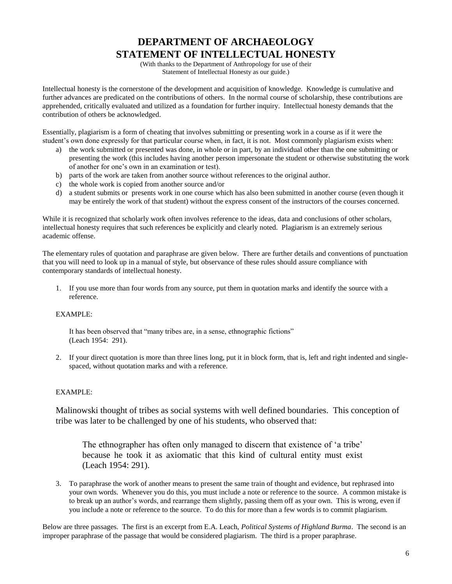## **DEPARTMENT OF ARCHAEOLOGY STATEMENT OF INTELLECTUAL HONESTY**

(With thanks to the Department of Anthropology for use of their Statement of Intellectual Honesty as our guide.)

Intellectual honesty is the cornerstone of the development and acquisition of knowledge. Knowledge is cumulative and further advances are predicated on the contributions of others. In the normal course of scholarship, these contributions are apprehended, critically evaluated and utilized as a foundation for further inquiry. Intellectual honesty demands that the contribution of others be acknowledged.

Essentially, plagiarism is a form of cheating that involves submitting or presenting work in a course as if it were the student's own done expressly for that particular course when, in fact, it is not. Most commonly plagiarism exists when:

- a) the work submitted or presented was done, in whole or in part, by an individual other than the one submitting or presenting the work (this includes having another person impersonate the student or otherwise substituting the work of another for one's own in an examination or test).
- b) parts of the work are taken from another source without references to the original author.
- c) the whole work is copied from another source and/or
- d) a student submits or presents work in one course which has also been submitted in another course (even though it may be entirely the work of that student) without the express consent of the instructors of the courses concerned.

While it is recognized that scholarly work often involves reference to the ideas, data and conclusions of other scholars, intellectual honesty requires that such references be explicitly and clearly noted. Plagiarism is an extremely serious academic offense.

The elementary rules of quotation and paraphrase are given below. There are further details and conventions of punctuation that you will need to look up in a manual of style, but observance of these rules should assure compliance with contemporary standards of intellectual honesty.

1. If you use more than four words from any source, put them in quotation marks and identify the source with a reference.

#### EXAMPLE:

It has been observed that "many tribes are, in a sense, ethnographic fictions" (Leach 1954: 291).

2. If your direct quotation is more than three lines long, put it in block form, that is, left and right indented and singlespaced, without quotation marks and with a reference.

#### EXAMPLE:

Malinowski thought of tribes as social systems with well defined boundaries. This conception of tribe was later to be challenged by one of his students, who observed that:

The ethnographer has often only managed to discern that existence of 'a tribe' because he took it as axiomatic that this kind of cultural entity must exist (Leach 1954: 291).

3. To paraphrase the work of another means to present the same train of thought and evidence, but rephrased into your own words. Whenever you do this, you must include a note or reference to the source. A common mistake is to break up an author's words, and rearrange them slightly, passing them off as your own. This is wrong, even if you include a note or reference to the source. To do this for more than a few words is to commit plagiarism.

Below are three passages. The first is an excerpt from E.A. Leach, *Political Systems of Highland Burma*. The second is an improper paraphrase of the passage that would be considered plagiarism. The third is a proper paraphrase.